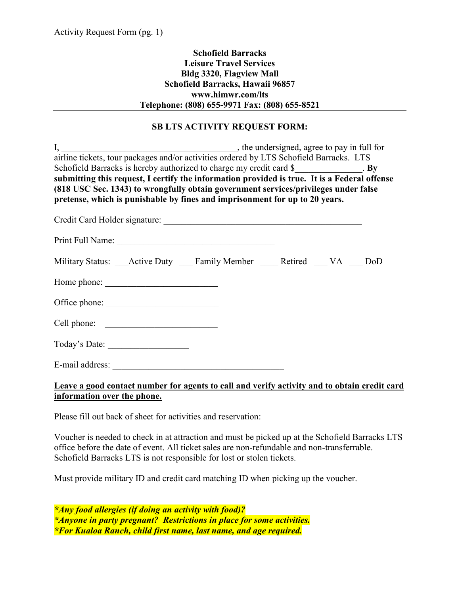## **Schofield Barracks Leisure Travel Services Bldg 3320, Flagview Mall Schofield Barracks, Hawaii 96857 www.himwr.com/lts Telephone: (808) 655-9971 Fax: (808) 655-8521**

## **SB LTS ACTIVITY REQUEST FORM:**

|                                                                                               | I, the undersigned, agree to pay in full for airline tickets, tour packages and/or activities ordered by LTS Schofield Barracks. LTS |  |  |  |  |  |  |
|-----------------------------------------------------------------------------------------------|--------------------------------------------------------------------------------------------------------------------------------------|--|--|--|--|--|--|
|                                                                                               |                                                                                                                                      |  |  |  |  |  |  |
| Schofield Barracks is hereby authorized to charge my credit card \$______________. By         |                                                                                                                                      |  |  |  |  |  |  |
| submitting this request, I certify the information provided is true. It is a Federal offense  |                                                                                                                                      |  |  |  |  |  |  |
| (818 USC Sec. 1343) to wrongfully obtain government services/privileges under false           |                                                                                                                                      |  |  |  |  |  |  |
| pretense, which is punishable by fines and imprisonment for up to 20 years.                   |                                                                                                                                      |  |  |  |  |  |  |
|                                                                                               |                                                                                                                                      |  |  |  |  |  |  |
|                                                                                               |                                                                                                                                      |  |  |  |  |  |  |
|                                                                                               |                                                                                                                                      |  |  |  |  |  |  |
|                                                                                               |                                                                                                                                      |  |  |  |  |  |  |
| Military Status: _____ Active Duty _______ Family Member ________ Retired ______ VA _____ DoD |                                                                                                                                      |  |  |  |  |  |  |
|                                                                                               |                                                                                                                                      |  |  |  |  |  |  |
|                                                                                               |                                                                                                                                      |  |  |  |  |  |  |
|                                                                                               |                                                                                                                                      |  |  |  |  |  |  |
|                                                                                               |                                                                                                                                      |  |  |  |  |  |  |
|                                                                                               |                                                                                                                                      |  |  |  |  |  |  |
| Today's Date:                                                                                 |                                                                                                                                      |  |  |  |  |  |  |
|                                                                                               |                                                                                                                                      |  |  |  |  |  |  |
|                                                                                               |                                                                                                                                      |  |  |  |  |  |  |

## **Leave a good contact number for agents to call and verify activity and to obtain credit card information over the phone.**

Please fill out back of sheet for activities and reservation:

Voucher is needed to check in at attraction and must be picked up at the Schofield Barracks LTS office before the date of event. All ticket sales are non-refundable and non-transferrable. Schofield Barracks LTS is not responsible for lost or stolen tickets.

Must provide military ID and credit card matching ID when picking up the voucher.

*\*Any food allergies (if doing an activity with food)? \*Anyone in party pregnant? Restrictions in place for some activities. \*For Kualoa Ranch, child first name, last name, and age required.*